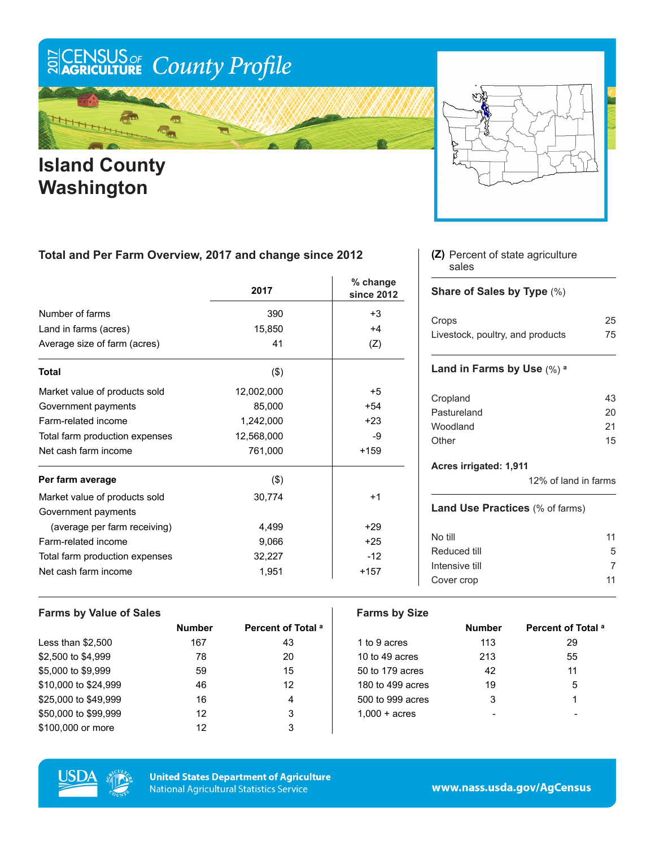# ECENSUS OF County Profile

m

### Ïп **Island County Washington**



### **Total and Per Farm Overview, 2017 and change since 2012**

|                                | 2017       | % change<br>since 2012 |
|--------------------------------|------------|------------------------|
| Number of farms                | 390        | $+3$                   |
| Land in farms (acres)          | 15,850     | $+4$                   |
| Average size of farm (acres)   | 41         | (Z)                    |
| <b>Total</b>                   | (3)        |                        |
| Market value of products sold  | 12,002,000 | +5                     |
| Government payments            | 85,000     | $+54$                  |
| Farm-related income            | 1,242,000  | $+23$                  |
| Total farm production expenses | 12,568,000 | -9                     |
| Net cash farm income           | 761,000    | $+159$                 |
| Per farm average               | $($ \$)    |                        |
| Market value of products sold  | 30,774     | $+1$                   |
| Government payments            |            |                        |
| (average per farm receiving)   | 4,499      | $+29$                  |
| Farm-related income            | 9,066      | $+25$                  |
| Total farm production expenses | 32,227     | $-12$                  |
| Net cash farm income           | 1,951      | $+157$                 |

#### Percent of state agriculture **(Z)** sales

#### **Share of Sales by Type** (%)

| Crops                            | 25 |
|----------------------------------|----|
| Livestock, poultry, and products | 75 |

#### **Land in Farms by Use** (%) **<sup>a</sup>**

| Cropland    | 43 |
|-------------|----|
| Pastureland | 20 |
| Woodland    | 21 |
| Other       | 15 |
|             |    |

#### **Acres irrigated: 1,911**

12% of land in farms

#### **Land Use Practices** (% of farms)

| No till        | 11 |
|----------------|----|
| Reduced till   | 5  |
| Intensive till |    |
| Cover crop     | 11 |

#### **Farms by Value of Sales Farms by Size**

|                      | <b>Number</b> | Percent of Total <sup>a</sup> |                        | <b>Number</b> | Percent of |
|----------------------|---------------|-------------------------------|------------------------|---------------|------------|
| Less than $$2,500$   | 167           | 43                            | 1 to 9 acres           | 113           | 29         |
| \$2,500 to \$4,999   | 78            | 20                            | 10 to 49 acres         | 213           | 55         |
| \$5,000 to \$9,999   | 59            | 15                            | 50 to 179 acres        | 42            | 11         |
| \$10,000 to \$24,999 | 46            | 12                            | 180 to 499 acres       | 19            | 5          |
| \$25,000 to \$49,999 | 16            | 4                             | 500 to 999 acres       | 3             |            |
| \$50,000 to \$99,999 | 12            | 3                             | $1.000 + \text{acres}$ |               |            |
| \$100,000 or more    | 12            | 3                             |                        |               |            |

| Number | Percent of Total <sup>a</sup> |                        | <b>Number</b> | Percent of Total <sup>a</sup> |
|--------|-------------------------------|------------------------|---------------|-------------------------------|
| 167    | 43                            | 1 to 9 acres           | 113           | 29                            |
| 78     | 20                            | 10 to 49 acres         | 213           | 55                            |
| 59     | 15                            | 50 to 179 acres        | 42            | 11                            |
| 46     | 12                            | 180 to 499 acres       | 19            | 5                             |
| 16     | 4                             | 500 to 999 acres       | 3             |                               |
| 12     | 3                             | $1,000 + \text{acres}$ |               |                               |
|        |                               |                        |               |                               |



**United States Department of Agriculture National Agricultural Statistics Service**